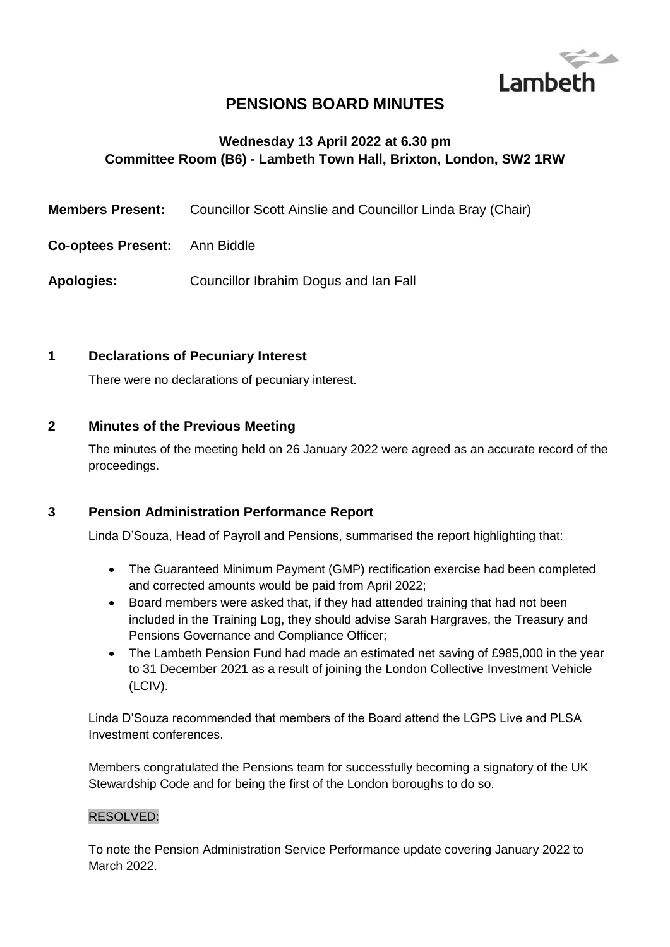

# **PENSIONS BOARD MINUTES**

## **Wednesday 13 April 2022 at 6.30 pm Committee Room (B6) - Lambeth Town Hall, Brixton, London, SW2 1RW**

- **Members Present:** Councillor Scott Ainslie and Councillor Linda Bray (Chair)
- **Co-optees Present:** Ann Biddle

**Apologies:** Councillor Ibrahim Dogus and Ian Fall

#### **1 Declarations of Pecuniary Interest**

There were no declarations of pecuniary interest.

#### **2 Minutes of the Previous Meeting**

The minutes of the meeting held on 26 January 2022 were agreed as an accurate record of the proceedings.

#### **3 Pension Administration Performance Report**

Linda D'Souza, Head of Payroll and Pensions, summarised the report highlighting that:

- The Guaranteed Minimum Payment (GMP) rectification exercise had been completed and corrected amounts would be paid from April 2022;
- Board members were asked that, if they had attended training that had not been included in the Training Log, they should advise Sarah Hargraves, the Treasury and Pensions Governance and Compliance Officer;
- The Lambeth Pension Fund had made an estimated net saving of £985,000 in the year to 31 December 2021 as a result of joining the London Collective Investment Vehicle (LCIV).

Linda D'Souza recommended that members of the Board attend the LGPS Live and PLSA Investment conferences.

Members congratulated the Pensions team for successfully becoming a signatory of the UK Stewardship Code and for being the first of the London boroughs to do so.

#### RESOLVED:

To note the Pension Administration Service Performance update covering January 2022 to March 2022.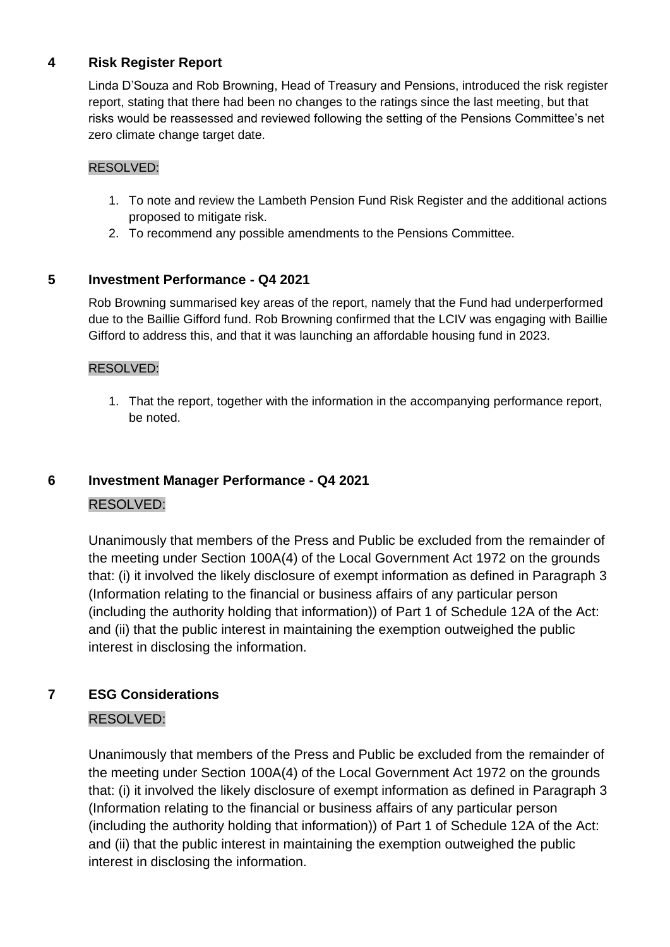#### **4 Risk Register Report**

Linda D'Souza and Rob Browning, Head of Treasury and Pensions, introduced the risk register report, stating that there had been no changes to the ratings since the last meeting, but that risks would be reassessed and reviewed following the setting of the Pensions Committee's net zero climate change target date.

#### RESOLVED:

- 1. To note and review the Lambeth Pension Fund Risk Register and the additional actions proposed to mitigate risk.
- 2. To recommend any possible amendments to the Pensions Committee.

#### **5 Investment Performance - Q4 2021**

Rob Browning summarised key areas of the report, namely that the Fund had underperformed due to the Baillie Gifford fund. Rob Browning confirmed that the LCIV was engaging with Baillie Gifford to address this, and that it was launching an affordable housing fund in 2023.

#### RESOLVED:

1. That the report, together with the information in the accompanying performance report, be noted.

# **6 Investment Manager Performance - Q4 2021**

#### RESOLVED:

Unanimously that members of the Press and Public be excluded from the remainder of the meeting under Section 100A(4) of the Local Government Act 1972 on the grounds that: (i) it involved the likely disclosure of exempt information as defined in Paragraph 3 (Information relating to the financial or business affairs of any particular person (including the authority holding that information)) of Part 1 of Schedule 12A of the Act: and (ii) that the public interest in maintaining the exemption outweighed the public interest in disclosing the information.

#### **7 ESG Considerations**

#### RESOLVED:

Unanimously that members of the Press and Public be excluded from the remainder of the meeting under Section 100A(4) of the Local Government Act 1972 on the grounds that: (i) it involved the likely disclosure of exempt information as defined in Paragraph 3 (Information relating to the financial or business affairs of any particular person (including the authority holding that information)) of Part 1 of Schedule 12A of the Act: and (ii) that the public interest in maintaining the exemption outweighed the public interest in disclosing the information.